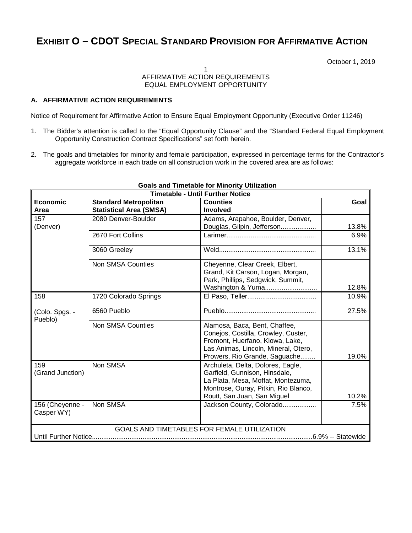# **EXHIBIT O – CDOT SPECIAL STANDARD PROVISION FOR AFFIRMATIVE ACTION**

October 1, 2019

### 1 AFFIRMATIVE ACTION REQUIREMENTS EQUAL EMPLOYMENT OPPORTUNITY

## **A. AFFIRMATIVE ACTION REQUIREMENTS**

Notice of Requirement for Affirmative Action to Ensure Equal Employment Opportunity (Executive Order 11246)

- 1. The Bidder's attention is called to the "Equal Opportunity Clause" and the "Standard Federal Equal Employment Opportunity Construction Contract Specifications" set forth herein.
- 2. The goals and timetables for minority and female participation, expressed in percentage terms for the Contractor's aggregate workforce in each trade on all construction work in the covered area are as follows:

| <b>Timetable - Until Further Notice</b>     |                                                                |                                                                                                                                                                                  |       |
|---------------------------------------------|----------------------------------------------------------------|----------------------------------------------------------------------------------------------------------------------------------------------------------------------------------|-------|
| <b>Economic</b><br>Area                     | <b>Standard Metropolitan</b><br><b>Statistical Area (SMSA)</b> | <b>Counties</b><br><b>Involved</b>                                                                                                                                               | Goal  |
| 157<br>(Denver)                             | 2080 Denver-Boulder                                            | Adams, Arapahoe, Boulder, Denver,<br>Douglas, Gilpin, Jefferson                                                                                                                  | 13.8% |
|                                             | 2670 Fort Collins                                              |                                                                                                                                                                                  | 6.9%  |
|                                             | 3060 Greeley                                                   |                                                                                                                                                                                  | 13.1% |
|                                             | <b>Non SMSA Counties</b>                                       | Cheyenne, Clear Creek, Elbert,<br>Grand, Kit Carson, Logan, Morgan,<br>Park, Phillips, Sedgwick, Summit,<br>Washington & Yuma                                                    | 12.8% |
| 158                                         | 1720 Colorado Springs                                          |                                                                                                                                                                                  | 10.9% |
| (Colo. Spgs. -<br>Pueblo)                   | 6560 Pueblo                                                    |                                                                                                                                                                                  | 27.5% |
|                                             | <b>Non SMSA Counties</b>                                       | Alamosa, Baca, Bent, Chaffee,<br>Conejos, Costilla, Crowley, Custer,<br>Fremont, Huerfano, Kiowa, Lake,<br>Las Animas, Lincoln, Mineral, Otero,<br>Prowers, Rio Grande, Saguache | 19.0% |
| 159<br>(Grand Junction)                     | Non SMSA                                                       | Archuleta, Delta, Dolores, Eagle,<br>Garfield, Gunnison, Hinsdale,<br>La Plata, Mesa, Moffat, Montezuma,<br>Montrose, Ouray, Pitkin, Rio Blanco,<br>Routt, San Juan, San Miguel  | 10.2% |
| 156 (Cheyenne -<br>Casper WY)               | Non SMSA                                                       | Jackson County, Colorado                                                                                                                                                         | 7.5%  |
| GOALS AND TIMETABLES FOR FEMALE UTILIZATION |                                                                |                                                                                                                                                                                  |       |

# **Goals and Timetable for Minority Utilization**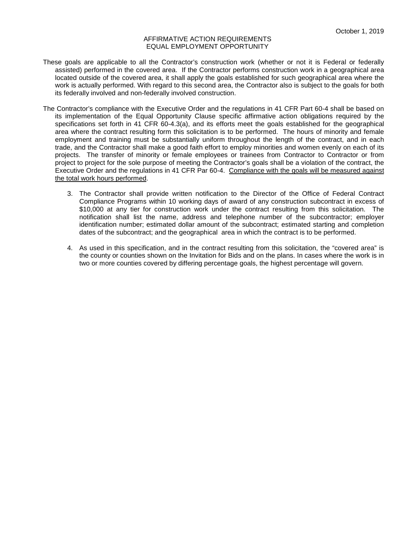- These goals are applicable to all the Contractor's construction work (whether or not it is Federal or federally assisted) performed in the covered area. If the Contractor performs construction work in a geographical area located outside of the covered area, it shall apply the goals established for such geographical area where the work is actually performed. With regard to this second area, the Contractor also is subject to the goals for both its federally involved and non-federally involved construction.
- The Contractor's compliance with the Executive Order and the regulations in 41 CFR Part 60-4 shall be based on its implementation of the Equal Opportunity Clause specific affirmative action obligations required by the specifications set forth in 41 CFR 60-4.3(a), and its efforts meet the goals established for the geographical area where the contract resulting form this solicitation is to be performed. The hours of minority and female employment and training must be substantially uniform throughout the length of the contract, and in each trade, and the Contractor shall make a good faith effort to employ minorities and women evenly on each of its projects. The transfer of minority or female employees or trainees from Contractor to Contractor or from project to project for the sole purpose of meeting the Contractor's goals shall be a violation of the contract, the Executive Order and the regulations in 41 CFR Par 60-4. Compliance with the goals will be measured against the total work hours performed.
	- 3. The Contractor shall provide written notification to the Director of the Office of Federal Contract Compliance Programs within 10 working days of award of any construction subcontract in excess of \$10,000 at any tier for construction work under the contract resulting from this solicitation. The notification shall list the name, address and telephone number of the subcontractor; employer identification number; estimated dollar amount of the subcontract; estimated starting and completion dates of the subcontract; and the geographical area in which the contract is to be performed.
	- 4. As used in this specification, and in the contract resulting from this solicitation, the "covered area" is the county or counties shown on the Invitation for Bids and on the plans. In cases where the work is in two or more counties covered by differing percentage goals, the highest percentage will govern.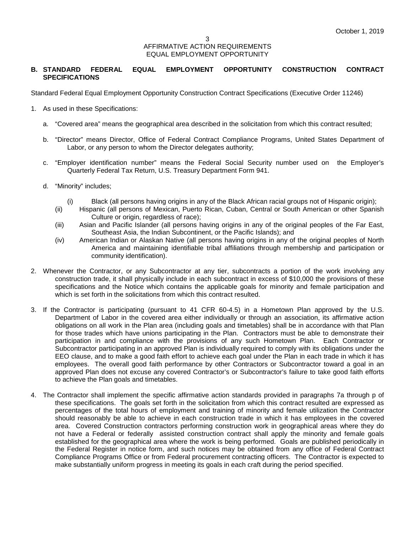### **B. STANDARD FEDERAL EQUAL EMPLOYMENT OPPORTUNITY CONSTRUCTION CONTRACT SPECIFICATIONS**

Standard Federal Equal Employment Opportunity Construction Contract Specifications (Executive Order 11246)

- 1. As used in these Specifications:
	- a. "Covered area" means the geographical area described in the solicitation from which this contract resulted;
	- b. "Director" means Director, Office of Federal Contract Compliance Programs, United States Department of Labor, or any person to whom the Director delegates authority;
	- c. "Employer identification number" means the Federal Social Security number used on the Employer's Quarterly Federal Tax Return, U.S. Treasury Department Form 941.
	- d. "Minority" includes;
		- (i) Black (all persons having origins in any of the Black African racial groups not of Hispanic origin);
		- (ii) Hispanic (all persons of Mexican, Puerto Rican, Cuban, Central or South American or other Spanish Culture or origin, regardless of race);
		- (iii) Asian and Pacific Islander (all persons having origins in any of the original peoples of the Far East, Southeast Asia, the Indian Subcontinent, or the Pacific Islands); and
		- (iv) American Indian or Alaskan Native (all persons having origins in any of the original peoples of North America and maintaining identifiable tribal affiliations through membership and participation or community identification).
- 2. Whenever the Contractor, or any Subcontractor at any tier, subcontracts a portion of the work involving any construction trade, it shall physically include in each subcontract in excess of \$10,000 the provisions of these specifications and the Notice which contains the applicable goals for minority and female participation and which is set forth in the solicitations from which this contract resulted.
- 3. If the Contractor is participating (pursuant to 41 CFR 60-4.5) in a Hometown Plan approved by the U.S. Department of Labor in the covered area either individually or through an association, its affirmative action obligations on all work in the Plan area (including goals and timetables) shall be in accordance with that Plan for those trades which have unions participating in the Plan. Contractors must be able to demonstrate their participation in and compliance with the provisions of any such Hometown Plan. Each Contractor or Subcontractor participating in an approved Plan is individually required to comply with its obligations under the EEO clause, and to make a good faith effort to achieve each goal under the Plan in each trade in which it has employees. The overall good faith performance by other Contractors or Subcontractor toward a goal in an approved Plan does not excuse any covered Contractor's or Subcontractor's failure to take good faith efforts to achieve the Plan goals and timetables.
- 4. The Contractor shall implement the specific affirmative action standards provided in paragraphs 7a through p of these specifications. The goals set forth in the solicitation from which this contract resulted are expressed as percentages of the total hours of employment and training of minority and female utilization the Contractor should reasonably be able to achieve in each construction trade in which it has employees in the covered area. Covered Construction contractors performing construction work in geographical areas where they do not have a Federal or federally assisted construction contract shall apply the minority and female goals established for the geographical area where the work is being performed. Goals are published periodically in the Federal Register in notice form, and such notices may be obtained from any office of Federal Contract Compliance Programs Office or from Federal procurement contracting officers. The Contractor is expected to make substantially uniform progress in meeting its goals in each craft during the period specified.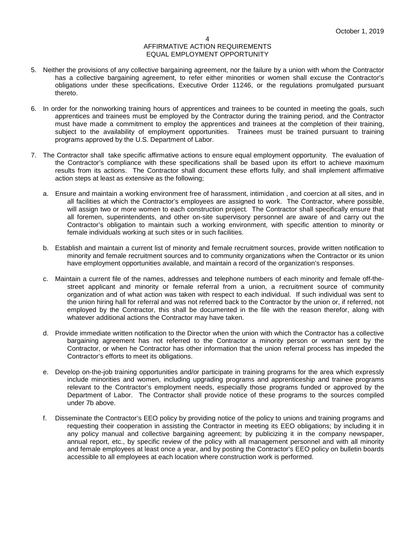- 5. Neither the provisions of any collective bargaining agreement, nor the failure by a union with whom the Contractor has a collective bargaining agreement, to refer either minorities or women shall excuse the Contractor's obligations under these specifications, Executive Order 11246, or the regulations promulgated pursuant thereto.
- 6. In order for the nonworking training hours of apprentices and trainees to be counted in meeting the goals, such apprentices and trainees must be employed by the Contractor during the training period, and the Contractor must have made a commitment to employ the apprentices and trainees at the completion of their training, subject to the availability of employment opportunities. Trainees must be trained pursuant to training programs approved by the U.S. Department of Labor.
- 7. The Contractor shall take specific affirmative actions to ensure equal employment opportunity. The evaluation of the Contractor's compliance with these specifications shall be based upon its effort to achieve maximum results from its actions. The Contractor shall document these efforts fully, and shall implement affirmative action steps at least as extensive as the following;
	- a. Ensure and maintain a working environment free of harassment, intimidation , and coercion at all sites, and in all facilities at which the Contractor's employees are assigned to work. The Contractor, where possible, will assign two or more women to each construction project. The Contractor shall specifically ensure that all foremen, superintendents, and other on-site supervisory personnel are aware of and carry out the Contractor's obligation to maintain such a working environment, with specific attention to minority or female individuals working at such sites or in such facilities.
	- b. Establish and maintain a current list of minority and female recruitment sources, provide written notification to minority and female recruitment sources and to community organizations when the Contractor or its union have employment opportunities available, and maintain a record of the organization's responses.
	- c. Maintain a current file of the names, addresses and telephone numbers of each minority and female off-thestreet applicant and minority or female referral from a union, a recruitment source of community organization and of what action was taken with respect to each individual. If such individual was sent to the union hiring hall for referral and was not referred back to the Contractor by the union or, if referred, not employed by the Contractor, this shall be documented in the file with the reason therefor, along with whatever additional actions the Contractor may have taken.
	- d. Provide immediate written notification to the Director when the union with which the Contractor has a collective bargaining agreement has not referred to the Contractor a minority person or woman sent by the Contractor, or when he Contractor has other information that the union referral process has impeded the Contractor's efforts to meet its obligations.
	- e. Develop on-the-job training opportunities and/or participate in training programs for the area which expressly include minorities and women, including upgrading programs and apprenticeship and trainee programs relevant to the Contractor's employment needs, especially those programs funded or approved by the Department of Labor. The Contractor shall provide notice of these programs to the sources compiled under 7b above.
	- f. Disseminate the Contractor's EEO policy by providing notice of the policy to unions and training programs and requesting their cooperation in assisting the Contractor in meeting its EEO obligations; by including it in any policy manual and collective bargaining agreement; by publicizing it in the company newspaper, annual report, etc., by specific review of the policy with all management personnel and with all minority and female employees at least once a year, and by posting the Contractor's EEO policy on bulletin boards accessible to all employees at each location where construction work is performed.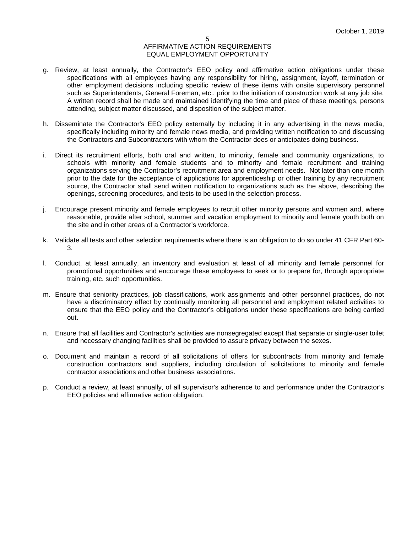- g. Review, at least annually, the Contractor's EEO policy and affirmative action obligations under these specifications with all employees having any responsibility for hiring, assignment, layoff, termination or other employment decisions including specific review of these items with onsite supervisory personnel such as Superintendents, General Foreman, etc., prior to the initiation of construction work at any job site. A written record shall be made and maintained identifying the time and place of these meetings, persons attending, subject matter discussed, and disposition of the subject matter.
- h. Disseminate the Contractor's EEO policy externally by including it in any advertising in the news media, specifically including minority and female news media, and providing written notification to and discussing the Contractors and Subcontractors with whom the Contractor does or anticipates doing business.
- i. Direct its recruitment efforts, both oral and written, to minority, female and community organizations, to schools with minority and female students and to minority and female recruitment and training organizations serving the Contractor's recruitment area and employment needs. Not later than one month prior to the date for the acceptance of applications for apprenticeship or other training by any recruitment source, the Contractor shall send written notification to organizations such as the above, describing the openings, screening procedures, and tests to be used in the selection process.
- j. Encourage present minority and female employees to recruit other minority persons and women and, where reasonable, provide after school, summer and vacation employment to minority and female youth both on the site and in other areas of a Contractor's workforce.
- k. Validate all tests and other selection requirements where there is an obligation to do so under 41 CFR Part 60- 3.
- l. Conduct, at least annually, an inventory and evaluation at least of all minority and female personnel for promotional opportunities and encourage these employees to seek or to prepare for, through appropriate training, etc. such opportunities.
- m. Ensure that seniority practices, job classifications, work assignments and other personnel practices, do not have a discriminatory effect by continually monitoring all personnel and employment related activities to ensure that the EEO policy and the Contractor's obligations under these specifications are being carried out.
- n. Ensure that all facilities and Contractor's activities are nonsegregated except that separate or single-user toilet and necessary changing facilities shall be provided to assure privacy between the sexes.
- o. Document and maintain a record of all solicitations of offers for subcontracts from minority and female construction contractors and suppliers, including circulation of solicitations to minority and female contractor associations and other business associations.
- p. Conduct a review, at least annually, of all supervisor's adherence to and performance under the Contractor's EEO policies and affirmative action obligation.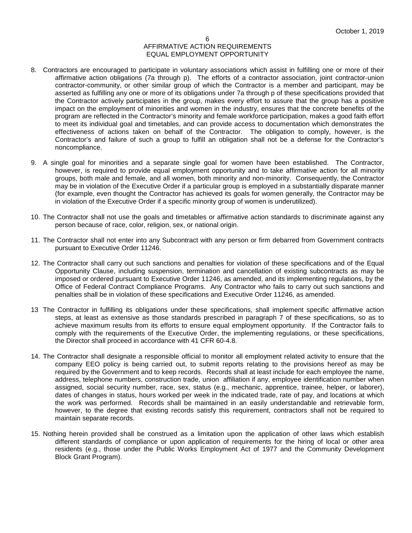- 8. Contractors are encouraged to participate in voluntary associations which assist in fulfilling one or more of their affirmative action obligations (7a through p). The efforts of a contractor association, joint contractor-union contractor-community, or other similar group of which the Contractor is a member and participant, may be asserted as fulfilling any one or more of its obligations under 7a through p of these specifications provided that the Contractor actively participates in the group, makes every effort to assure that the group has a positive impact on the employment of minorities and women in the industry, ensures that the concrete benefits of the program are reflected in the Contractor's minority and female workforce participation, makes a good faith effort to meet its individual goal and timetables, and can provide access to documentation which demonstrates the effectiveness of actions taken on behalf of the Contractor. The obligation to comply, however, is the Contractor's and failure of such a group to fulfill an obligation shall not be a defense for the Contractor's noncompliance.
- 9. A single goal for minorities and a separate single goal for women have been established. The Contractor, however, is required to provide equal employment opportunity and to take affirmative action for all minority groups, both male and female, and all women, both minority and non-minority. Consequently, the Contractor may be in violation of the Executive Order if a particular group is employed in a substantially disparate manner (for example, even thought the Contractor has achieved its goals for women generally, the Contractor may be in violation of the Executive Order if a specific minority group of women is underutilized).
- 10. The Contractor shall not use the goals and timetables or affirmative action standards to discriminate against any person because of race, color, religion, sex, or national origin.
- 11. The Contractor shall not enter into any Subcontract with any person or firm debarred from Government contracts pursuant to Executive Order 11246.
- 12. The Contractor shall carry out such sanctions and penalties for violation of these specifications and of the Equal Opportunity Clause, including suspension, termination and cancellation of existing subcontracts as may be imposed or ordered pursuant to Executive Order 11246, as amended, and its implementing regulations, by the Office of Federal Contract Compliance Programs. Any Contractor who fails to carry out such sanctions and penalties shall be in violation of these specifications and Executive Order 11246, as amended.
- 13 The Contractor in fulfilling its obligations under these specifications, shall implement specific affirmative action steps, at least as extensive as those standards prescribed in paragraph 7 of these specifications, so as to achieve maximum results from its efforts to ensure equal employment opportunity. If the Contractor fails to comply with the requirements of the Executive Order, the implementing regulations, or these specifications, the Director shall proceed in accordance with 41 CFR 60-4.8.
- 14. The Contractor shall designate a responsible official to monitor all employment related activity to ensure that the company EEO policy is being carried out, to submit reports relating to the provisions hereof as may be required by the Government and to keep records. Records shall at least include for each employee the name, address, telephone numbers, construction trade, union affiliation if any, employee identification number when assigned, social security number, race, sex, status (e.g., mechanic, apprentice, trainee, helper, or laborer), dates of changes in status, hours worked per week in the indicated trade, rate of pay, and locations at which the work was performed. Records shall be maintained in an easily understandable and retrievable form, however, to the degree that existing records satisfy this requirement, contractors shall not be required to maintain separate records.
- 15. Nothing herein provided shall be construed as a limitation upon the application of other laws which establish different standards of compliance or upon application of requirements for the hiring of local or other area residents (e.g., those under the Public Works Employment Act of 1977 and the Community Development Block Grant Program).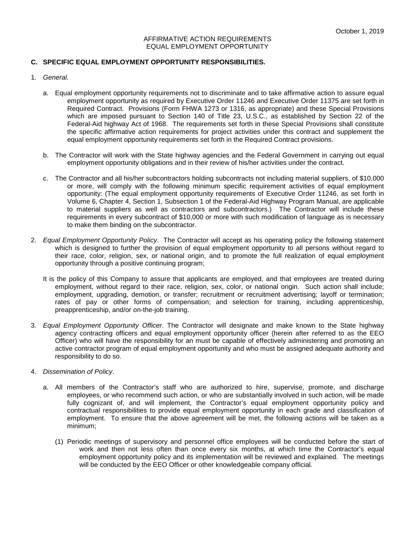### **C. SPECIFIC EQUAL EMPLOYMENT OPPORTUNITY RESPONSIBILITIES.**

- 1. *General.*
	- a. Equal employment opportunity requirements not to discriminate and to take affirmative action to assure equal employment opportunity as required by Executive Order 11246 and Executive Order 11375 are set forth in Required Contract. Provisions (Form FHWA 1273 or 1316, as appropriate) and these Special Provisions which are imposed pursuant to Section 140 of Title 23, U.S.C., as established by Section 22 of the Federal-Aid highway Act of 1968. The requirements set forth in these Special Provisions shall constitute the specific affirmative action requirements for project activities under this contract and supplement the equal employment opportunity requirements set forth in the Required Contract provisions.
	- b. The Contractor will work with the State highway agencies and the Federal Government in carrying out equal employment opportunity obligations and in their review of his/her activities under the contract.
	- c. The Contractor and all his/her subcontractors holding subcontracts not including material suppliers, of \$10,000 or more, will comply with the following minimum specific requirement activities of equal employment opportunity: (The equal employment opportunity requirements of Executive Order 11246, as set forth in Volume 6, Chapter 4, Section 1, Subsection 1 of the Federal-Aid Highway Program Manual, are applicable to material suppliers as well as contractors and subcontractors.) The Contractor will include these requirements in every subcontract of \$10,000 or more with such modification of language as is necessary to make them binding on the subcontractor.
- 2. *Equal Employment Opportunity Policy*. The Contractor will accept as his operating policy the following statement which is designed to further the provision of equal employment opportunity to all persons without regard to their race, color, religion, sex, or national origin, and to promote the full realization of equal employment opportunity through a positive continuing program;
	- It is the policy of this Company to assure that applicants are employed, and that employees are treated during employment, without regard to their race, religion, sex, color, or national origin. Such action shall include; employment, upgrading, demotion, or transfer; recruitment or recruitment advertising; layoff or termination; rates of pay or other forms of compensation; and selection for training, including apprenticeship, preapprenticeship, and/or on-the-job training.
- 3. *Equal Employment Opportunity Officer*. The Contractor will designate and make known to the State highway agency contracting officers and equal employment opportunity officer (herein after referred to as the EEO Officer) who will have the responsibility for an must be capable of effectively administering and promoting an active contractor program of equal employment opportunity and who must be assigned adequate authority and responsibility to do so.
- 4. *Dissemination of Policy*.
	- a. All members of the Contractor's staff who are authorized to hire, supervise, promote, and discharge employees, or who recommend such action, or who are substantially involved in such action, will be made fully cognizant of, and will implement, the Contractor's equal employment opportunity policy and contractual responsibilities to provide equal employment opportunity in each grade and classification of employment. To ensure that the above agreement will be met, the following actions will be taken as a minimum;
		- (1) Periodic meetings of supervisory and personnel office employees will be conducted before the start of work and then not less often than once every six months, at which time the Contractor's equal employment opportunity policy and its implementation will be reviewed and explained. The meetings will be conducted by the EEO Officer or other knowledgeable company official.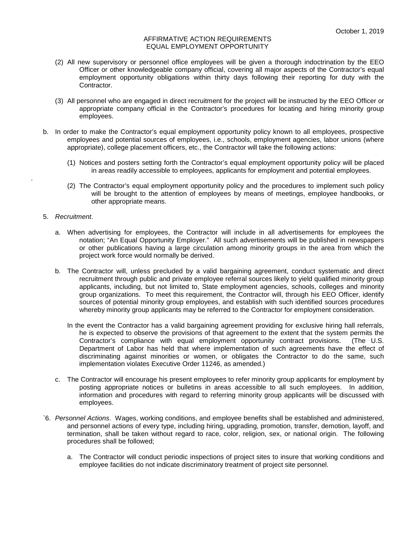- (2) All new supervisory or personnel office employees will be given a thorough indoctrination by the EEO Officer or other knowledgeable company official, covering all major aspects of the Contractor's equal employment opportunity obligations within thirty days following their reporting for duty with the Contractor.
- (3) All personnel who are engaged in direct recruitment for the project will be instructed by the EEO Officer or appropriate company official in the Contractor's procedures for locating and hiring minority group employees.
- b. In order to make the Contractor's equal employment opportunity policy known to all employees, prospective employees and potential sources of employees, i.e., schools, employment agencies, labor unions (where appropriate), college placement officers, etc., the Contractor will take the following actions:
	- (1) Notices and posters setting forth the Contractor's equal employment opportunity policy will be placed in areas readily accessible to employees, applicants for employment and potential employees.
	- (2) The Contractor's equal employment opportunity policy and the procedures to implement such policy will be brought to the attention of employees by means of meetings, employee handbooks, or other appropriate means.

#### 5. *Recruitment*.

.

- a. When advertising for employees, the Contractor will include in all advertisements for employees the notation; "An Equal Opportunity Employer." All such advertisements will be published in newspapers or other publications having a large circulation among minority groups in the area from which the project work force would normally be derived.
- b. The Contractor will, unless precluded by a valid bargaining agreement, conduct systematic and direct recruitment through public and private employee referral sources likely to yield qualified minority group applicants, including, but not limited to, State employment agencies, schools, colleges and minority group organizations. To meet this requirement, the Contractor will, through his EEO Officer, identify sources of potential minority group employees, and establish with such identified sources procedures whereby minority group applicants may be referred to the Contractor for employment consideration.
	- In the event the Contractor has a valid bargaining agreement providing for exclusive hiring hall referrals, he is expected to observe the provisions of that agreement to the extent that the system permits the Contractor's compliance with equal employment opportunity contract provisions. (The U.S. Department of Labor has held that where implementation of such agreements have the effect of discriminating against minorities or women, or obligates the Contractor to do the same, such implementation violates Executive Order 11246, as amended.)
- c. The Contractor will encourage his present employees to refer minority group applicants for employment by posting appropriate notices or bulletins in areas accessible to all such employees. In addition, information and procedures with regard to referring minority group applicants will be discussed with employees.
- `6. *Personnel Actions*. Wages, working conditions, and employee benefits shall be established and administered, and personnel actions of every type, including hiring, upgrading, promotion, transfer, demotion, layoff, and termination, shall be taken without regard to race, color, religion, sex, or national origin. The following procedures shall be followed;
	- a. The Contractor will conduct periodic inspections of project sites to insure that working conditions and employee facilities do not indicate discriminatory treatment of project site personnel.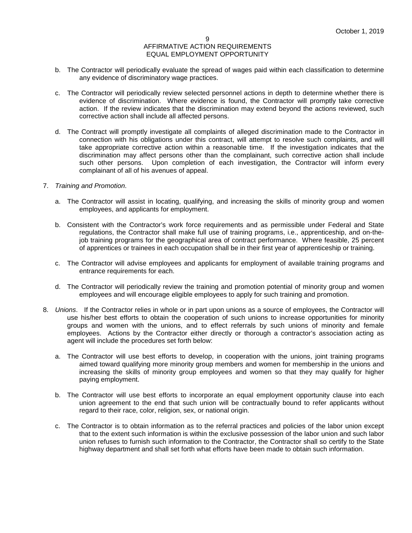- b. The Contractor will periodically evaluate the spread of wages paid within each classification to determine any evidence of discriminatory wage practices.
- c. The Contractor will periodically review selected personnel actions in depth to determine whether there is evidence of discrimination. Where evidence is found, the Contractor will promptly take corrective action. If the review indicates that the discrimination may extend beyond the actions reviewed, such corrective action shall include all affected persons.
- d. The Contract will promptly investigate all complaints of alleged discrimination made to the Contractor in connection with his obligations under this contract, will attempt to resolve such complaints, and will take appropriate corrective action within a reasonable time. If the investigation indicates that the discrimination may affect persons other than the complainant, such corrective action shall include such other persons. Upon completion of each investigation, the Contractor will inform every complainant of all of his avenues of appeal.
- 7. *Training and Promotion*.
	- a. The Contractor will assist in locating, qualifying, and increasing the skills of minority group and women employees, and applicants for employment.
	- b. Consistent with the Contractor's work force requirements and as permissible under Federal and State regulations, the Contractor shall make full use of training programs, i.e., apprenticeship, and on-thejob training programs for the geographical area of contract performance. Where feasible, 25 percent of apprentices or trainees in each occupation shall be in their first year of apprenticeship or training.
	- c. The Contractor will advise employees and applicants for employment of available training programs and entrance requirements for each.
	- d. The Contractor will periodically review the training and promotion potential of minority group and women employees and will encourage eligible employees to apply for such training and promotion.
- 8. *Unions*. If the Contractor relies in whole or in part upon unions as a source of employees, the Contractor will use his/her best efforts to obtain the cooperation of such unions to increase opportunities for minority groups and women with the unions, and to effect referrals by such unions of minority and female employees. Actions by the Contractor either directly or thorough a contractor's association acting as agent will include the procedures set forth below:
	- a. The Contractor will use best efforts to develop, in cooperation with the unions, joint training programs aimed toward qualifying more minority group members and women for membership in the unions and increasing the skills of minority group employees and women so that they may qualify for higher paying employment.
	- b. The Contractor will use best efforts to incorporate an equal employment opportunity clause into each union agreement to the end that such union will be contractually bound to refer applicants without regard to their race, color, religion, sex, or national origin.
	- c. The Contractor is to obtain information as to the referral practices and policies of the labor union except that to the extent such information is within the exclusive possession of the labor union and such labor union refuses to furnish such information to the Contractor, the Contractor shall so certify to the State highway department and shall set forth what efforts have been made to obtain such information.